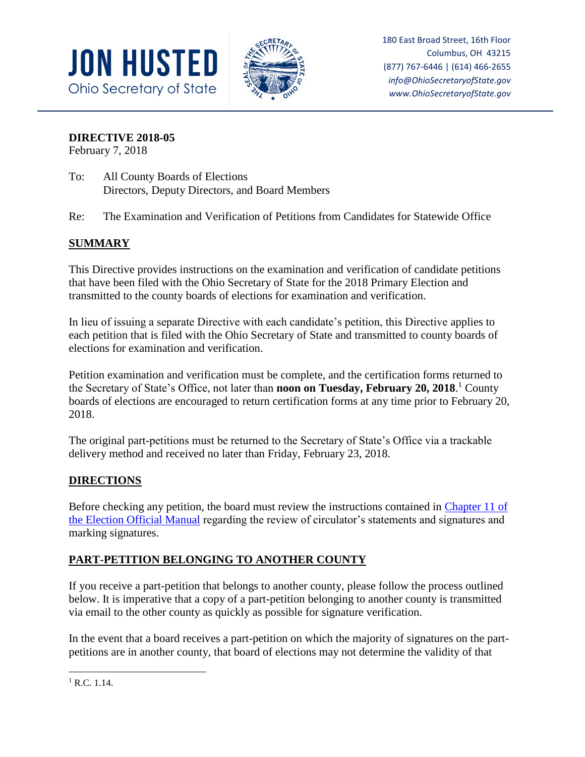



180 East Broad Street, 16th Floor Columbus, OH 43215 (877) 767-6446 | (614) 466-2655 *info@OhioSecretaryofState.gov www.OhioSecretaryofState.gov*

**DIRECTIVE 2018-05**

February 7, 2018

- To: All County Boards of Elections Directors, Deputy Directors, and Board Members
- Re: The Examination and Verification of Petitions from Candidates for Statewide Office

# **SUMMARY**

This Directive provides instructions on the examination and verification of candidate petitions that have been filed with the Ohio Secretary of State for the 2018 Primary Election and transmitted to the county boards of elections for examination and verification.

In lieu of issuing a separate Directive with each candidate's petition, this Directive applies to each petition that is filed with the Ohio Secretary of State and transmitted to county boards of elections for examination and verification.

Petition examination and verification must be complete, and the certification forms returned to the Secretary of State's Office, not later than **noon on Tuesday, February 20, 2018**. <sup>1</sup> County boards of elections are encouraged to return certification forms at any time prior to February 20, 2018.

The original part-petitions must be returned to the Secretary of State's Office via a trackable delivery method and received no later than Friday, February 23, 2018.

# **DIRECTIONS**

Before checking any petition, the board must review the instructions contained in [Chapter 11 of](https://www.sos.state.oh.us/globalassets/elections/directives/2017/dir2017-15_eom_ch_11.pdf) [the Election Official Manual](https://www.sos.state.oh.us/globalassets/elections/directives/2017/dir2017-15_eom_ch_11.pdf) regarding the review of circulator's statements and signatures and marking signatures.

# **PART-PETITION BELONGING TO ANOTHER COUNTY**

If you receive a part-petition that belongs to another county, please follow the process outlined below. It is imperative that a copy of a part-petition belonging to another county is transmitted via email to the other county as quickly as possible for signature verification.

In the event that a board receives a part-petition on which the majority of signatures on the partpetitions are in another county, that board of elections may not determine the validity of that

 $\overline{\phantom{a}}$  $1$  R.C. 1.14.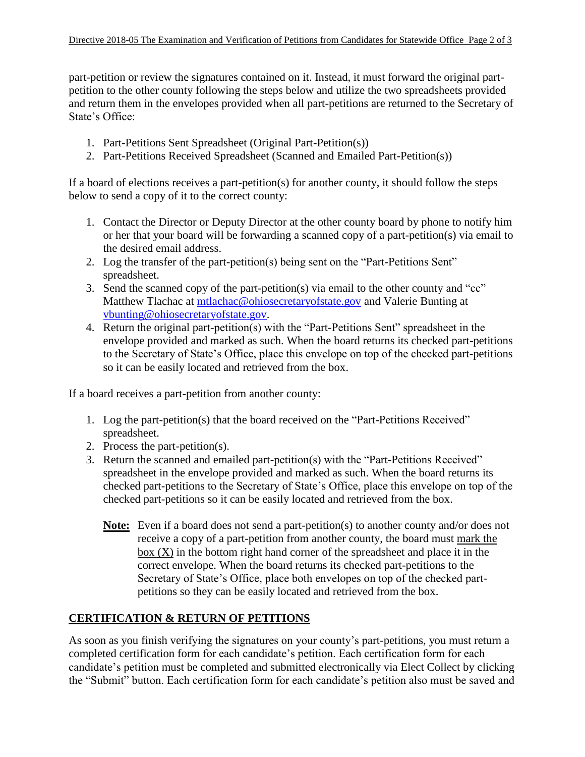part-petition or review the signatures contained on it. Instead, it must forward the original partpetition to the other county following the steps below and utilize the two spreadsheets provided and return them in the envelopes provided when all part-petitions are returned to the Secretary of State's Office:

- 1. Part-Petitions Sent Spreadsheet (Original Part-Petition(s))
- 2. Part-Petitions Received Spreadsheet (Scanned and Emailed Part-Petition(s))

If a board of elections receives a part-petition(s) for another county, it should follow the steps below to send a copy of it to the correct county:

- 1. Contact the Director or Deputy Director at the other county board by phone to notify him or her that your board will be forwarding a scanned copy of a part-petition(s) via email to the desired email address.
- 2. Log the transfer of the part-petition(s) being sent on the "Part-Petitions Sent" spreadsheet.
- 3. Send the scanned copy of the part-petition(s) via email to the other county and "cc" Matthew Tlachac at [mtlachac@ohiosecretaryofstate.gov](mailto:mtlachac@ohiosecretaryofstate.gov) and Valerie Bunting at [vbunting@ohiosecretaryofstate.gov.](mailto:vbunting@ohiosecretaryofstate.gov)
- 4. Return the original part-petition(s) with the "Part-Petitions Sent" spreadsheet in the envelope provided and marked as such. When the board returns its checked part-petitions to the Secretary of State's Office, place this envelope on top of the checked part-petitions so it can be easily located and retrieved from the box.

If a board receives a part-petition from another county:

- 1. Log the part-petition(s) that the board received on the "Part-Petitions Received" spreadsheet.
- 2. Process the part-petition(s).
- 3. Return the scanned and emailed part-petition(s) with the "Part-Petitions Received" spreadsheet in the envelope provided and marked as such. When the board returns its checked part-petitions to the Secretary of State's Office, place this envelope on top of the checked part-petitions so it can be easily located and retrieved from the box.
	- **Note:** Even if a board does not send a part-petition(s) to another county and/or does not receive a copy of a part-petition from another county, the board must mark the box  $(X)$  in the bottom right hand corner of the spreadsheet and place it in the correct envelope. When the board returns its checked part-petitions to the Secretary of State's Office, place both envelopes on top of the checked partpetitions so they can be easily located and retrieved from the box.

### **CERTIFICATION & RETURN OF PETITIONS**

As soon as you finish verifying the signatures on your county's part-petitions, you must return a completed certification form for each candidate's petition. Each certification form for each candidate's petition must be completed and submitted electronically via Elect Collect by clicking the "Submit" button. Each certification form for each candidate's petition also must be saved and